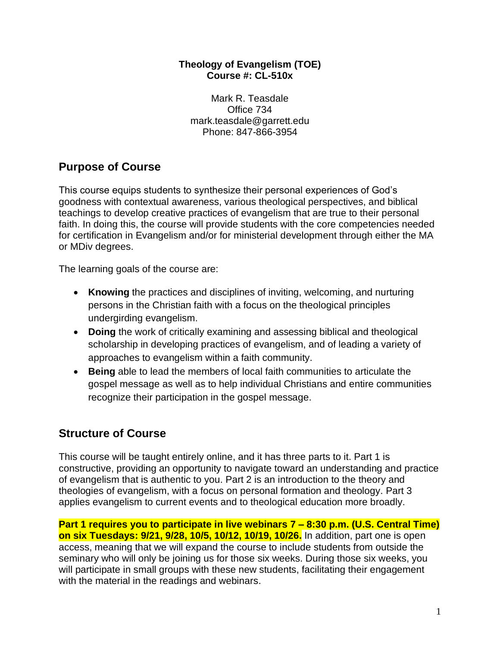#### **Theology of Evangelism (TOE) Course #: CL-510x**

Mark R. Teasdale Office 734 mark.teasdale@garrett.edu Phone: 847-866-3954

# **Purpose of Course**

This course equips students to synthesize their personal experiences of God's goodness with contextual awareness, various theological perspectives, and biblical teachings to develop creative practices of evangelism that are true to their personal faith. In doing this, the course will provide students with the core competencies needed for certification in Evangelism and/or for ministerial development through either the MA or MDiv degrees.

The learning goals of the course are:

- **Knowing** the practices and disciplines of inviting, welcoming, and nurturing persons in the Christian faith with a focus on the theological principles undergirding evangelism.
- **Doing** the work of critically examining and assessing biblical and theological scholarship in developing practices of evangelism, and of leading a variety of approaches to evangelism within a faith community.
- **Being** able to lead the members of local faith communities to articulate the gospel message as well as to help individual Christians and entire communities recognize their participation in the gospel message.

# **Structure of Course**

This course will be taught entirely online, and it has three parts to it. Part 1 is constructive, providing an opportunity to navigate toward an understanding and practice of evangelism that is authentic to you. Part 2 is an introduction to the theory and theologies of evangelism, with a focus on personal formation and theology. Part 3 applies evangelism to current events and to theological education more broadly.

**Part 1 requires you to participate in live webinars 7 – 8:30 p.m. (U.S. Central Time) on six Tuesdays: 9/21, 9/28, 10/5, 10/12, 10/19, 10/26.** In addition, part one is open access, meaning that we will expand the course to include students from outside the seminary who will only be joining us for those six weeks. During those six weeks, you will participate in small groups with these new students, facilitating their engagement with the material in the readings and webinars.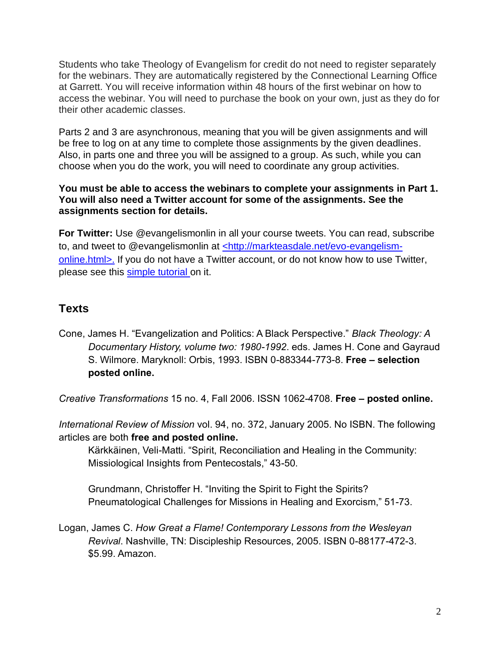Students who take Theology of Evangelism for credit do not need to register separately for the webinars. They are automatically registered by the Connectional Learning Office at Garrett. You will receive information within 48 hours of the first webinar on how to access the webinar. You will need to purchase the book on your own, just as they do for their other academic classes.

Parts 2 and 3 are asynchronous, meaning that you will be given assignments and will be free to log on at any time to complete those assignments by the given deadlines. Also, in parts one and three you will be assigned to a group. As such, while you can choose when you do the work, you will need to coordinate any group activities.

### **You must be able to access the webinars to complete your assignments in Part 1. You will also need a Twitter account for some of the assignments. See the assignments section for details.**

**For Twitter:** Use @evangelismonlin in all your course tweets. You can read, subscribe to, and tweet to @evangelismonlin at [<http://markteasdale.net/evo-evangelism](http://markteasdale.net/evo-evangelism-online.html)[online.html>.](http://markteasdale.net/evo-evangelism-online.html) If you do not have a Twitter account, or do not know how to use Twitter, please see this [simple tutorial o](http://www.wikihow.com/Use-Twitter)n it.

# **Texts**

Cone, James H. "Evangelization and Politics: A Black Perspective." *Black Theology: A Documentary History, volume two: 1980-1992*. eds. James H. Cone and Gayraud S. Wilmore. Maryknoll: Orbis, 1993. ISBN 0-883344-773-8. **Free – selection posted online.**

*Creative Transformations* 15 no. 4, Fall 2006. ISSN 1062-4708. **Free – posted online.**

*International Review of Mission* vol. 94, no. 372, January 2005. No ISBN. The following articles are both **free and posted online.**

Kärkkäinen, Veli-Matti. "Spirit, Reconciliation and Healing in the Community: Missiological Insights from Pentecostals," 43-50.

Grundmann, Christoffer H. "Inviting the Spirit to Fight the Spirits? Pneumatological Challenges for Missions in Healing and Exorcism," 51-73.

Logan, James C. *How Great a Flame! Contemporary Lessons from the Wesleyan Revival*. Nashville, TN: Discipleship Resources, 2005. ISBN 0-88177-472-3. \$5.99. Amazon.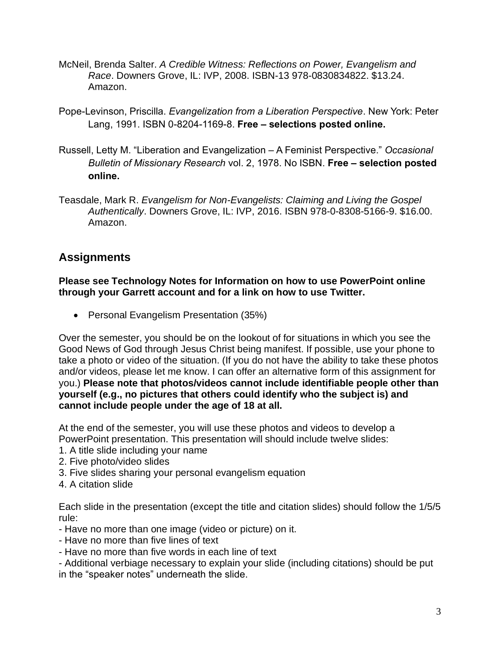- McNeil, Brenda Salter. *A Credible Witness: Reflections on Power, Evangelism and Race*. Downers Grove, IL: IVP, 2008. ISBN-13 978-0830834822. \$13.24. Amazon.
- Pope-Levinson, Priscilla. *Evangelization from a Liberation Perspective*. New York: Peter Lang, 1991. ISBN 0-8204-1169-8. **Free – selections posted online.**
- Russell, Letty M. "Liberation and Evangelization A Feminist Perspective." *Occasional Bulletin of Missionary Research* vol. 2, 1978. No ISBN. **Free – selection posted online.**
- Teasdale, Mark R. *Evangelism for Non-Evangelists: Claiming and Living the Gospel Authentically*. Downers Grove, IL: IVP, 2016. ISBN 978-0-8308-5166-9. \$16.00. Amazon.

# **Assignments**

### **Please see Technology Notes for Information on how to use PowerPoint online through your Garrett account and for a link on how to use Twitter.**

• Personal Evangelism Presentation (35%)

Over the semester, you should be on the lookout of for situations in which you see the Good News of God through Jesus Christ being manifest. If possible, use your phone to take a photo or video of the situation. (If you do not have the ability to take these photos and/or videos, please let me know. I can offer an alternative form of this assignment for you.) **Please note that photos/videos cannot include identifiable people other than yourself (e.g., no pictures that others could identify who the subject is) and cannot include people under the age of 18 at all.** 

At the end of the semester, you will use these photos and videos to develop a PowerPoint presentation. This presentation will should include twelve slides:

- 1. A title slide including your name
- 2. Five photo/video slides
- 3. Five slides sharing your personal evangelism equation
- 4. A citation slide

Each slide in the presentation (except the title and citation slides) should follow the 1/5/5 rule:

- Have no more than one image (video or picture) on it.
- Have no more than five lines of text
- Have no more than five words in each line of text
- Additional verbiage necessary to explain your slide (including citations) should be put in the "speaker notes" underneath the slide.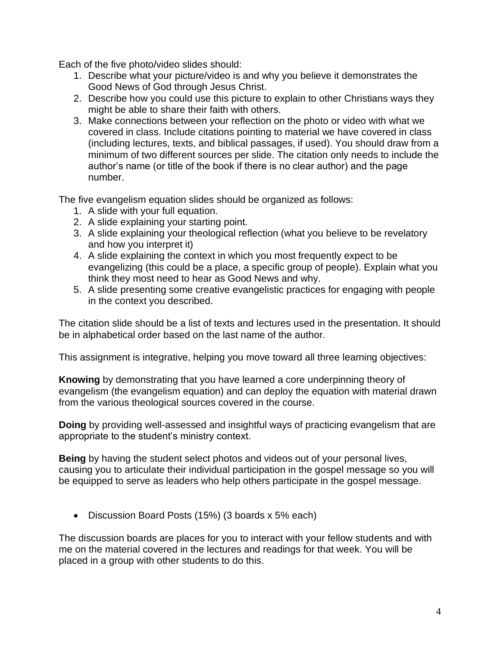Each of the five photo/video slides should:

- 1. Describe what your picture/video is and why you believe it demonstrates the Good News of God through Jesus Christ.
- 2. Describe how you could use this picture to explain to other Christians ways they might be able to share their faith with others.
- 3. Make connections between your reflection on the photo or video with what we covered in class. Include citations pointing to material we have covered in class (including lectures, texts, and biblical passages, if used). You should draw from a minimum of two different sources per slide. The citation only needs to include the author's name (or title of the book if there is no clear author) and the page number.

The five evangelism equation slides should be organized as follows:

- 1. A slide with your full equation.
- 2. A slide explaining your starting point.
- 3. A slide explaining your theological reflection (what you believe to be revelatory and how you interpret it)
- 4. A slide explaining the context in which you most frequently expect to be evangelizing (this could be a place, a specific group of people). Explain what you think they most need to hear as Good News and why.
- 5. A slide presenting some creative evangelistic practices for engaging with people in the context you described.

The citation slide should be a list of texts and lectures used in the presentation. It should be in alphabetical order based on the last name of the author.

This assignment is integrative, helping you move toward all three learning objectives:

**Knowing** by demonstrating that you have learned a core underpinning theory of evangelism (the evangelism equation) and can deploy the equation with material drawn from the various theological sources covered in the course.

**Doing** by providing well-assessed and insightful ways of practicing evangelism that are appropriate to the student's ministry context.

**Being** by having the student select photos and videos out of your personal lives, causing you to articulate their individual participation in the gospel message so you will be equipped to serve as leaders who help others participate in the gospel message.

• Discussion Board Posts (15%) (3 boards x 5% each)

The discussion boards are places for you to interact with your fellow students and with me on the material covered in the lectures and readings for that week. You will be placed in a group with other students to do this.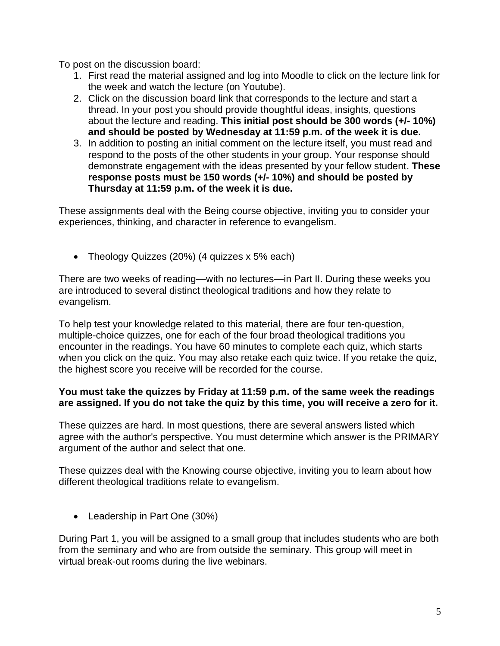To post on the discussion board:

- 1. First read the material assigned and log into Moodle to click on the lecture link for the week and watch the lecture (on Youtube).
- 2. Click on the discussion board link that corresponds to the lecture and start a thread. In your post you should provide thoughtful ideas, insights, questions about the lecture and reading. **This initial post should be 300 words (+/- 10%) and should be posted by Wednesday at 11:59 p.m. of the week it is due.**
- 3. In addition to posting an initial comment on the lecture itself, you must read and respond to the posts of the other students in your group. Your response should demonstrate engagement with the ideas presented by your fellow student. **These response posts must be 150 words (+/- 10%) and should be posted by Thursday at 11:59 p.m. of the week it is due.**

These assignments deal with the Being course objective, inviting you to consider your experiences, thinking, and character in reference to evangelism.

• Theology Quizzes (20%) (4 quizzes x 5% each)

There are two weeks of reading—with no lectures—in Part II. During these weeks you are introduced to several distinct theological traditions and how they relate to evangelism.

To help test your knowledge related to this material, there are four ten-question, multiple-choice quizzes, one for each of the four broad theological traditions you encounter in the readings. You have 60 minutes to complete each quiz, which starts when you click on the quiz. You may also retake each quiz twice. If you retake the quiz, the highest score you receive will be recorded for the course.

### **You must take the quizzes by Friday at 11:59 p.m. of the same week the readings are assigned. If you do not take the quiz by this time, you will receive a zero for it.**

These quizzes are hard. In most questions, there are several answers listed which agree with the author's perspective. You must determine which answer is the PRIMARY argument of the author and select that one.

These quizzes deal with the Knowing course objective, inviting you to learn about how different theological traditions relate to evangelism.

• Leadership in Part One (30%)

During Part 1, you will be assigned to a small group that includes students who are both from the seminary and who are from outside the seminary. This group will meet in virtual break-out rooms during the live webinars.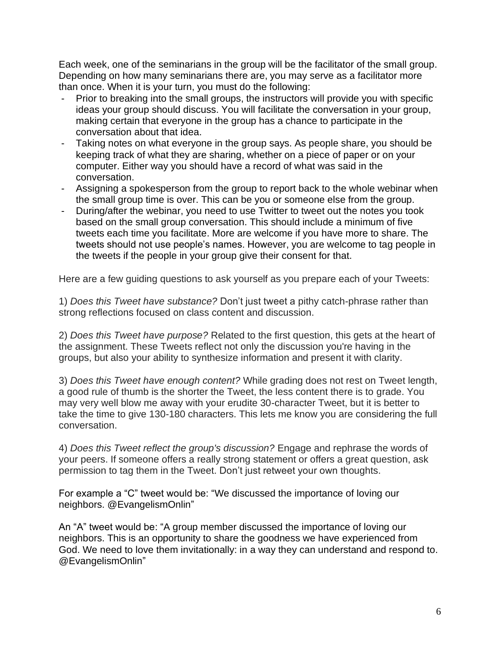Each week, one of the seminarians in the group will be the facilitator of the small group. Depending on how many seminarians there are, you may serve as a facilitator more than once. When it is your turn, you must do the following:

- Prior to breaking into the small groups, the instructors will provide you with specific ideas your group should discuss. You will facilitate the conversation in your group, making certain that everyone in the group has a chance to participate in the conversation about that idea.
- Taking notes on what everyone in the group says. As people share, you should be keeping track of what they are sharing, whether on a piece of paper or on your computer. Either way you should have a record of what was said in the conversation.
- Assigning a spokesperson from the group to report back to the whole webinar when the small group time is over. This can be you or someone else from the group.
- During/after the webinar, you need to use Twitter to tweet out the notes you took based on the small group conversation. This should include a minimum of five tweets each time you facilitate. More are welcome if you have more to share. The tweets should not use people's names. However, you are welcome to tag people in the tweets if the people in your group give their consent for that.

Here are a few guiding questions to ask yourself as you prepare each of your Tweets:

1) *Does this Tweet have substance?* Don't just tweet a pithy catch-phrase rather than strong reflections focused on class content and discussion.

2) *Does this Tweet have purpose?* Related to the first question, this gets at the heart of the assignment. These Tweets reflect not only the discussion you're having in the groups, but also your ability to synthesize information and present it with clarity.

3) *Does this Tweet have enough content?* While grading does not rest on Tweet length, a good rule of thumb is the shorter the Tweet, the less content there is to grade. You may very well blow me away with your erudite 30-character Tweet, but it is better to take the time to give 130-180 characters. This lets me know you are considering the full conversation.

4) *Does this Tweet reflect the group's discussion?* Engage and rephrase the words of your peers. If someone offers a really strong statement or offers a great question, ask permission to tag them in the Tweet. Don't just retweet your own thoughts.

For example a "C" tweet would be: "We discussed the importance of loving our neighbors. @EvangelismOnlin"

An "A" tweet would be: "A group member discussed the importance of loving our neighbors. This is an opportunity to share the goodness we have experienced from God. We need to love them invitationally: in a way they can understand and respond to. @EvangelismOnlin"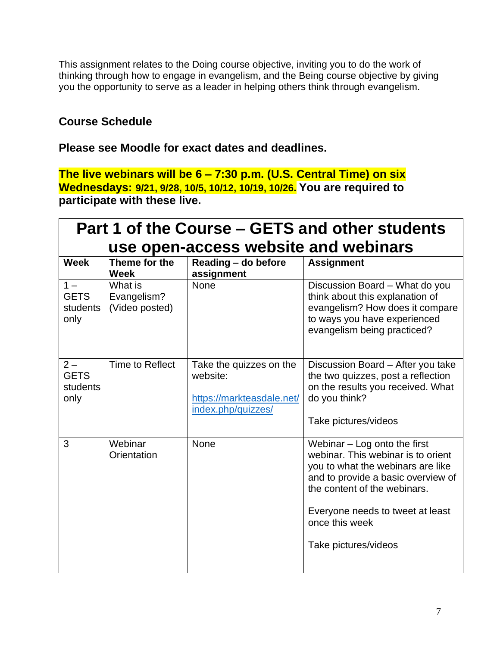This assignment relates to the Doing course objective, inviting you to do the work of thinking through how to engage in evangelism, and the Being course objective by giving you the opportunity to serve as a leader in helping others think through evangelism.

## **Course Schedule**

### **Please see Moodle for exact dates and deadlines.**

**The live webinars will be 6 – 7:30 p.m. (U.S. Central Time) on six Wednesdays: 9/21, 9/28, 10/5, 10/12, 10/19, 10/26. You are required to participate with these live.**

| Part 1 of the Course – GETS and other students |                                          |                                                                                        |                                                                                                                                                                                                                                                               |  |
|------------------------------------------------|------------------------------------------|----------------------------------------------------------------------------------------|---------------------------------------------------------------------------------------------------------------------------------------------------------------------------------------------------------------------------------------------------------------|--|
| use open-access website and webinars           |                                          |                                                                                        |                                                                                                                                                                                                                                                               |  |
| <b>Week</b>                                    | Theme for the<br><b>Week</b>             | Reading - do before<br>assignment                                                      | <b>Assignment</b>                                                                                                                                                                                                                                             |  |
| $1 -$<br><b>GETS</b><br>students<br>only       | What is<br>Evangelism?<br>(Video posted) | <b>None</b>                                                                            | Discussion Board - What do you<br>think about this explanation of<br>evangelism? How does it compare<br>to ways you have experienced<br>evangelism being practiced?                                                                                           |  |
| $2 -$<br><b>GETS</b><br>students<br>only       | Time to Reflect                          | Take the quizzes on the<br>website:<br>https://markteasdale.net/<br>index.php/quizzes/ | Discussion Board - After you take<br>the two quizzes, post a reflection<br>on the results you received. What<br>do you think?<br>Take pictures/videos                                                                                                         |  |
| 3                                              | Webinar<br>Orientation                   | None                                                                                   | Webinar $-$ Log onto the first<br>webinar. This webinar is to orient<br>you to what the webinars are like<br>and to provide a basic overview of<br>the content of the webinars.<br>Everyone needs to tweet at least<br>once this week<br>Take pictures/videos |  |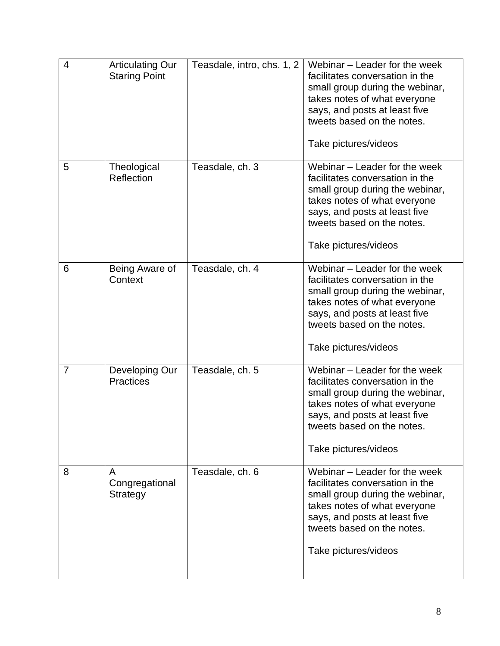| $\overline{4}$ | <b>Articulating Our</b><br><b>Staring Point</b> | Teasdale, intro, chs. 1, 2 | Webinar - Leader for the week<br>facilitates conversation in the<br>small group during the webinar,<br>takes notes of what everyone<br>says, and posts at least five<br>tweets based on the notes.<br>Take pictures/videos |
|----------------|-------------------------------------------------|----------------------------|----------------------------------------------------------------------------------------------------------------------------------------------------------------------------------------------------------------------------|
| 5              | Theological<br>Reflection                       | Teasdale, ch. 3            | Webinar – Leader for the week<br>facilitates conversation in the<br>small group during the webinar,<br>takes notes of what everyone<br>says, and posts at least five<br>tweets based on the notes.<br>Take pictures/videos |
| 6              | Being Aware of<br>Context                       | Teasdale, ch. 4            | Webinar – Leader for the week<br>facilitates conversation in the<br>small group during the webinar,<br>takes notes of what everyone<br>says, and posts at least five<br>tweets based on the notes.<br>Take pictures/videos |
| $\overline{7}$ | Developing Our<br><b>Practices</b>              | Teasdale, ch. 5            | Webinar - Leader for the week<br>facilitates conversation in the<br>small group during the webinar,<br>takes notes of what everyone<br>says, and posts at least five<br>tweets based on the notes.<br>Take pictures/videos |
| 8              | A<br>Congregational<br>Strategy                 | Teasdale, ch. 6            | Webinar – Leader for the week<br>facilitates conversation in the<br>small group during the webinar,<br>takes notes of what everyone<br>says, and posts at least five<br>tweets based on the notes.<br>Take pictures/videos |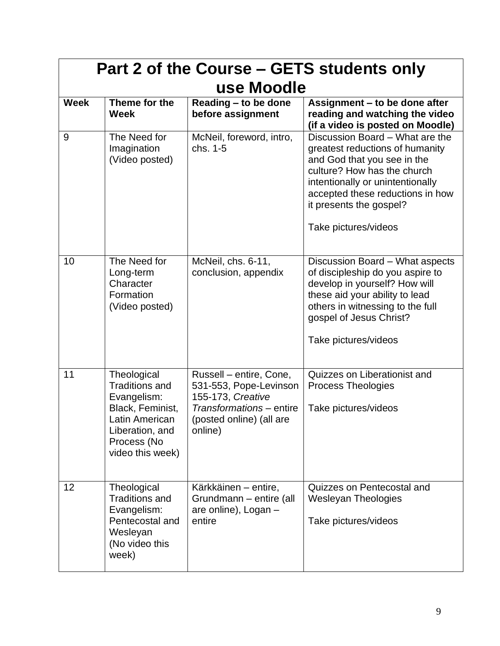| Part 2 of the Course – GETS students only<br>use Moodle |                                                                                                                                                 |                                                                                                                                           |                                                                                                                                                                                                                                                             |  |
|---------------------------------------------------------|-------------------------------------------------------------------------------------------------------------------------------------------------|-------------------------------------------------------------------------------------------------------------------------------------------|-------------------------------------------------------------------------------------------------------------------------------------------------------------------------------------------------------------------------------------------------------------|--|
| <b>Week</b>                                             | Theme for the<br><b>Week</b>                                                                                                                    | Reading - to be done<br>before assignment                                                                                                 | Assignment – to be done after<br>reading and watching the video<br>(if a video is posted on Moodle)                                                                                                                                                         |  |
| 9                                                       | The Need for<br>Imagination<br>(Video posted)                                                                                                   | McNeil, foreword, intro,<br>chs. 1-5                                                                                                      | Discussion Board - What are the<br>greatest reductions of humanity<br>and God that you see in the<br>culture? How has the church<br>intentionally or unintentionally<br>accepted these reductions in how<br>it presents the gospel?<br>Take pictures/videos |  |
| 10                                                      | The Need for<br>Long-term<br>Character<br>Formation<br>(Video posted)                                                                           | McNeil, chs. 6-11,<br>conclusion, appendix                                                                                                | Discussion Board - What aspects<br>of discipleship do you aspire to<br>develop in yourself? How will<br>these aid your ability to lead<br>others in witnessing to the full<br>gospel of Jesus Christ?<br>Take pictures/videos                               |  |
| 11                                                      | Theological<br><b>Traditions and</b><br>Evangelism:<br>Black, Feminist,<br>Latin American<br>Liberation, and<br>Process (No<br>video this week) | Russell – entire, Cone,<br>531-553, Pope-Levinson<br>155-173, Creative<br>Transformations - entire<br>(posted online) (all are<br>online) | Quizzes on Liberationist and<br><b>Process Theologies</b><br>Take pictures/videos                                                                                                                                                                           |  |
| 12                                                      | Theological<br><b>Traditions and</b><br>Evangelism:<br>Pentecostal and<br>Wesleyan<br>(No video this<br>week)                                   | Kärkkäinen – entire,<br>Grundmann - entire (all<br>are online), Logan -<br>entire                                                         | Quizzes on Pentecostal and<br><b>Wesleyan Theologies</b><br>Take pictures/videos                                                                                                                                                                            |  |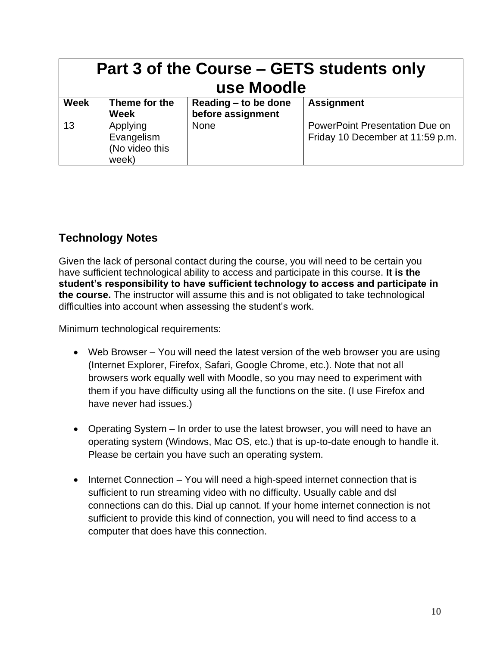| Part 3 of the Course – GETS students only<br>use Moodle |                                                   |                                           |                                                                           |
|---------------------------------------------------------|---------------------------------------------------|-------------------------------------------|---------------------------------------------------------------------------|
| <b>Week</b>                                             | Theme for the<br><b>Week</b>                      | Reading - to be done<br>before assignment | <b>Assignment</b>                                                         |
| 13                                                      | Applying<br>Evangelism<br>(No video this<br>week) | <b>None</b>                               | <b>PowerPoint Presentation Due on</b><br>Friday 10 December at 11:59 p.m. |

# **Technology Notes**

Given the lack of personal contact during the course, you will need to be certain you have sufficient technological ability to access and participate in this course. **It is the student's responsibility to have sufficient technology to access and participate in the course.** The instructor will assume this and is not obligated to take technological difficulties into account when assessing the student's work.

Minimum technological requirements:

- Web Browser You will need the latest version of the web browser you are using (Internet Explorer, Firefox, Safari, Google Chrome, etc.). Note that not all browsers work equally well with Moodle, so you may need to experiment with them if you have difficulty using all the functions on the site. (I use Firefox and have never had issues.)
- Operating System In order to use the latest browser, you will need to have an operating system (Windows, Mac OS, etc.) that is up-to-date enough to handle it. Please be certain you have such an operating system.
- Internet Connection You will need a high-speed internet connection that is sufficient to run streaming video with no difficulty. Usually cable and dsl connections can do this. Dial up cannot. If your home internet connection is not sufficient to provide this kind of connection, you will need to find access to a computer that does have this connection.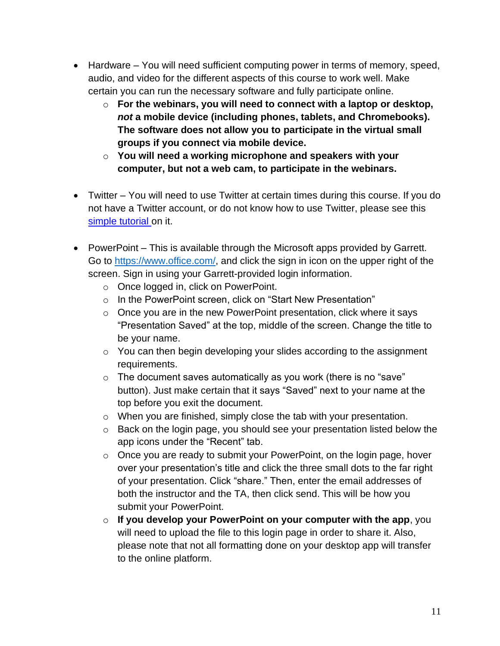- Hardware You will need sufficient computing power in terms of memory, speed, audio, and video for the different aspects of this course to work well. Make certain you can run the necessary software and fully participate online.
	- o **For the webinars, you will need to connect with a laptop or desktop,** *not* **a mobile device (including phones, tablets, and Chromebooks). The software does not allow you to participate in the virtual small groups if you connect via mobile device.**
	- o **You will need a working microphone and speakers with your computer, but not a web cam, to participate in the webinars.**
- Twitter You will need to use Twitter at certain times during this course. If you do not have a Twitter account, or do not know how to use Twitter, please see this [simple tutorial o](http://www.wikihow.com/Use-Twitter)n it.
- PowerPoint This is available through the Microsoft apps provided by Garrett. Go to [https://www.office.com/,](https://www.office.com/) and click the sign in icon on the upper right of the screen. Sign in using your Garrett-provided login information.
	- o Once logged in, click on PowerPoint.
	- o In the PowerPoint screen, click on "Start New Presentation"
	- o Once you are in the new PowerPoint presentation, click where it says "Presentation Saved" at the top, middle of the screen. Change the title to be your name.
	- o You can then begin developing your slides according to the assignment requirements.
	- $\circ$  The document saves automatically as you work (there is no "save" button). Just make certain that it says "Saved" next to your name at the top before you exit the document.
	- o When you are finished, simply close the tab with your presentation.
	- o Back on the login page, you should see your presentation listed below the app icons under the "Recent" tab.
	- o Once you are ready to submit your PowerPoint, on the login page, hover over your presentation's title and click the three small dots to the far right of your presentation. Click "share." Then, enter the email addresses of both the instructor and the TA, then click send. This will be how you submit your PowerPoint.
	- o **If you develop your PowerPoint on your computer with the app**, you will need to upload the file to this login page in order to share it. Also, please note that not all formatting done on your desktop app will transfer to the online platform.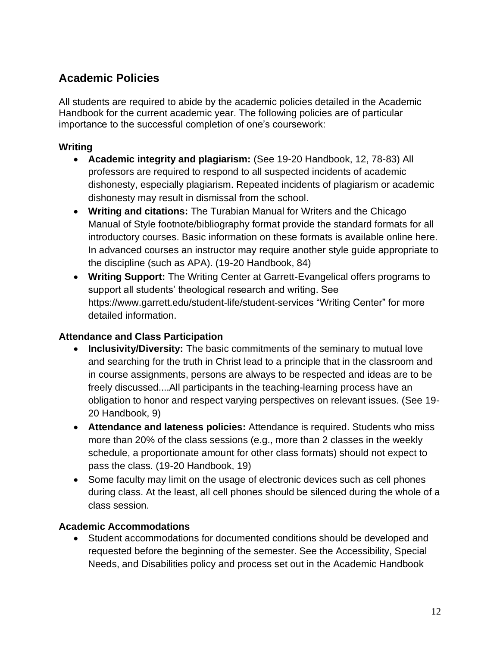# **Academic Policies**

All students are required to abide by the academic policies detailed in the Academic Handbook for the current academic year. The following policies are of particular importance to the successful completion of one's coursework:

### **Writing**

- **Academic integrity and plagiarism:** (See 19-20 Handbook, 12, 78-83) All professors are required to respond to all suspected incidents of academic dishonesty, especially plagiarism. Repeated incidents of plagiarism or academic dishonesty may result in dismissal from the school.
- **Writing and citations:** The Turabian Manual for Writers and the Chicago Manual of Style footnote/bibliography format provide the standard formats for all introductory courses. Basic information on these formats is available online here. In advanced courses an instructor may require another style guide appropriate to the discipline (such as APA). (19-20 Handbook, 84)
- **Writing Support:** The Writing Center at Garrett-Evangelical offers programs to support all students' theological research and writing. See https://www.garrett.edu/student-life/student-services "Writing Center" for more detailed information.

### **Attendance and Class Participation**

- **Inclusivity/Diversity:** The basic commitments of the seminary to mutual love and searching for the truth in Christ lead to a principle that in the classroom and in course assignments, persons are always to be respected and ideas are to be freely discussed....All participants in the teaching-learning process have an obligation to honor and respect varying perspectives on relevant issues. (See 19- 20 Handbook, 9)
- **Attendance and lateness policies:** Attendance is required. Students who miss more than 20% of the class sessions (e.g., more than 2 classes in the weekly schedule, a proportionate amount for other class formats) should not expect to pass the class. (19-20 Handbook, 19)
- Some faculty may limit on the usage of electronic devices such as cell phones during class. At the least, all cell phones should be silenced during the whole of a class session.

### **Academic Accommodations**

Student accommodations for documented conditions should be developed and requested before the beginning of the semester. See the Accessibility, Special Needs, and Disabilities policy and process set out in the Academic Handbook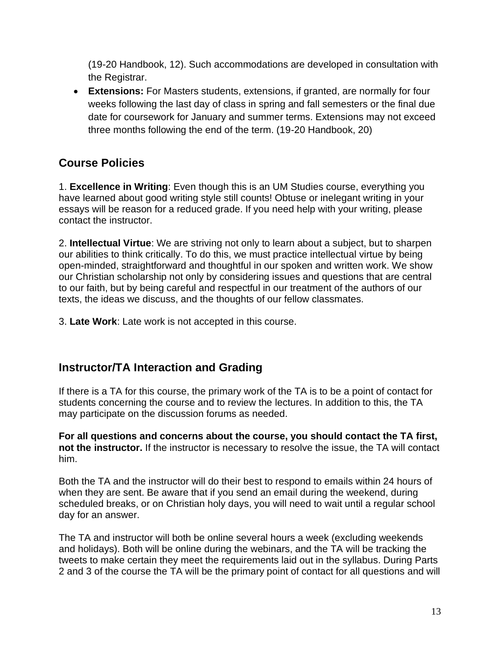(19-20 Handbook, 12). Such accommodations are developed in consultation with the Registrar.

• **Extensions:** For Masters students, extensions, if granted, are normally for four weeks following the last day of class in spring and fall semesters or the final due date for coursework for January and summer terms. Extensions may not exceed three months following the end of the term. (19-20 Handbook, 20)

# **Course Policies**

1. **Excellence in Writing**: Even though this is an UM Studies course, everything you have learned about good writing style still counts! Obtuse or inelegant writing in your essays will be reason for a reduced grade. If you need help with your writing, please contact the instructor.

2. **Intellectual Virtue**: We are striving not only to learn about a subject, but to sharpen our abilities to think critically. To do this, we must practice intellectual virtue by being open-minded, straightforward and thoughtful in our spoken and written work. We show our Christian scholarship not only by considering issues and questions that are central to our faith, but by being careful and respectful in our treatment of the authors of our texts, the ideas we discuss, and the thoughts of our fellow classmates.

3. **Late Work**: Late work is not accepted in this course.

## **Instructor/TA Interaction and Grading**

If there is a TA for this course, the primary work of the TA is to be a point of contact for students concerning the course and to review the lectures. In addition to this, the TA may participate on the discussion forums as needed.

**For all questions and concerns about the course, you should contact the TA first, not the instructor.** If the instructor is necessary to resolve the issue, the TA will contact him.

Both the TA and the instructor will do their best to respond to emails within 24 hours of when they are sent. Be aware that if you send an email during the weekend, during scheduled breaks, or on Christian holy days, you will need to wait until a regular school day for an answer.

The TA and instructor will both be online several hours a week (excluding weekends and holidays). Both will be online during the webinars, and the TA will be tracking the tweets to make certain they meet the requirements laid out in the syllabus. During Parts 2 and 3 of the course the TA will be the primary point of contact for all questions and will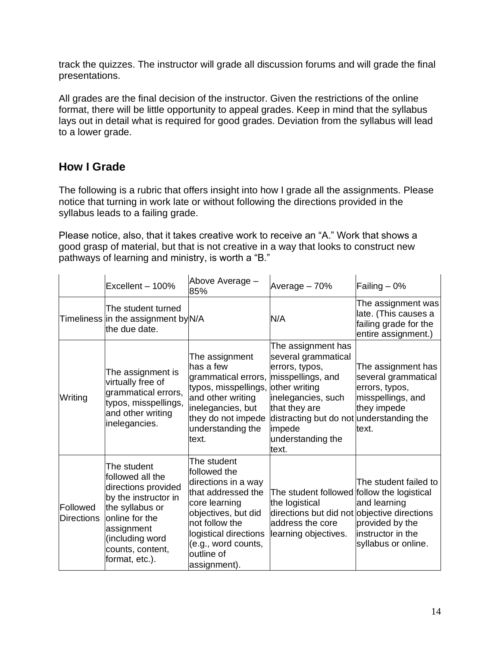track the quizzes. The instructor will grade all discussion forums and will grade the final presentations.

All grades are the final decision of the instructor. Given the restrictions of the online format, there will be little opportunity to appeal grades. Keep in mind that the syllabus lays out in detail what is required for good grades. Deviation from the syllabus will lead to a lower grade.

## **How I Grade**

The following is a rubric that offers insight into how I grade all the assignments. Please notice that turning in work late or without following the directions provided in the syllabus leads to a failing grade.

Please notice, also, that it takes creative work to receive an "A." Work that shows a good grasp of material, but that is not creative in a way that looks to construct new pathways of learning and ministry, is worth a "B."

|                               | Excellent - 100%                                                                                                                                                                            | Above Average -<br>85%                                                                                                                                                                                           | Average - 70%                                                                                                                                                                                           | $\mathsf{Failing} - 0\%$                                                                                 |
|-------------------------------|---------------------------------------------------------------------------------------------------------------------------------------------------------------------------------------------|------------------------------------------------------------------------------------------------------------------------------------------------------------------------------------------------------------------|---------------------------------------------------------------------------------------------------------------------------------------------------------------------------------------------------------|----------------------------------------------------------------------------------------------------------|
|                               | The student turned<br>Timeliness in the assignment by N/A<br>the due date.                                                                                                                  |                                                                                                                                                                                                                  | N/A                                                                                                                                                                                                     | The assignment was<br>late. (This causes a<br>failing grade for the<br>entire assignment.)               |
| Writing                       | The assignment is<br>virtually free of<br>grammatical errors,<br>typos, misspellings,<br>and other writing<br>inelegancies.                                                                 | The assignment<br>lhas a few<br>grammatical errors, misspellings, and<br>typos, misspellings,<br>and other writing<br>inelegancies, but<br>they do not impede<br>understanding the<br>text.                      | The assignment has<br>several grammatical<br>errors, typos,<br>other writing<br>inelegancies, such<br>that they are<br>distracting but do not understanding the<br>impede<br>understanding the<br>text. | The assignment has<br>several grammatical<br>errors, typos,<br>misspellings, and<br>they impede<br>text. |
| Followed<br><b>Directions</b> | The student<br>followed all the<br>directions provided<br>by the instructor in<br>the syllabus or<br>lonline for the<br>assignment<br>(including word<br>counts, content,<br>format, etc.). | The student<br>followed the<br>directions in a way<br>that addressed the<br>core learning<br>objectives, but did<br>not follow the<br>logistical directions<br>(e.g., word counts,<br>outline of<br>assignment). | The student followed follow the logistical<br>the logistical<br>directions but did not objective directions<br>address the core<br>learning objectives.                                                 | The student failed to<br>and learning<br>provided by the<br>linstructor in the<br>syllabus or online.    |